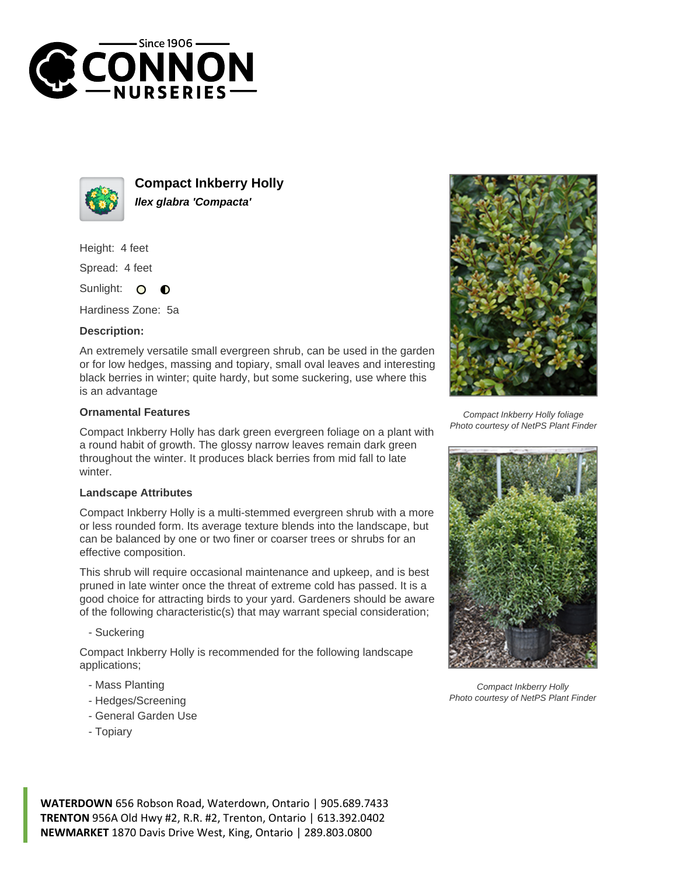



**Compact Inkberry Holly Ilex glabra 'Compacta'**

Height: 4 feet

Spread: 4 feet

Sunlight:  $\circ$ ∩

Hardiness Zone: 5a

## **Description:**

An extremely versatile small evergreen shrub, can be used in the garden or for low hedges, massing and topiary, small oval leaves and interesting black berries in winter; quite hardy, but some suckering, use where this is an advantage

## **Ornamental Features**

Compact Inkberry Holly has dark green evergreen foliage on a plant with a round habit of growth. The glossy narrow leaves remain dark green throughout the winter. It produces black berries from mid fall to late winter.

## **Landscape Attributes**

Compact Inkberry Holly is a multi-stemmed evergreen shrub with a more or less rounded form. Its average texture blends into the landscape, but can be balanced by one or two finer or coarser trees or shrubs for an effective composition.

This shrub will require occasional maintenance and upkeep, and is best pruned in late winter once the threat of extreme cold has passed. It is a good choice for attracting birds to your yard. Gardeners should be aware of the following characteristic(s) that may warrant special consideration;

- Suckering

Compact Inkberry Holly is recommended for the following landscape applications;

- Mass Planting
- Hedges/Screening
- General Garden Use
- Topiary



Compact Inkberry Holly foliage Photo courtesy of NetPS Plant Finder



Compact Inkberry Holly Photo courtesy of NetPS Plant Finder

**WATERDOWN** 656 Robson Road, Waterdown, Ontario | 905.689.7433 **TRENTON** 956A Old Hwy #2, R.R. #2, Trenton, Ontario | 613.392.0402 **NEWMARKET** 1870 Davis Drive West, King, Ontario | 289.803.0800